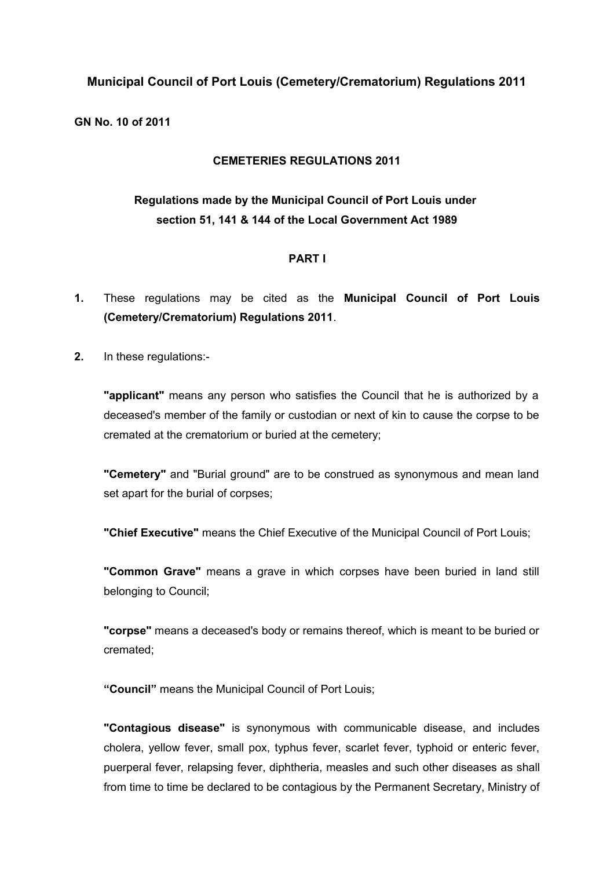### **Municipal Council of Port Louis (Cemetery/Crematorium) Regulations 2011**

**GN No. 10 of 2011**

### **CEMETERIES REGULATIONS 2011**

# **Regulations made by the Municipal Council of Port Louis under section 51, 141 & 144 of the Local Government Act 1989**

### **PART I**

- **1.** These regulations may be cited as the **Municipal Council of Port Louis (Cemetery/Crematorium) Regulations 2011**.
- **2.** In these regulations:-

**"applicant"** means any person who satisfies the Council that he is authorized by a deceased's member of the family or custodian or next of kin to cause the corpse to be cremated at the crematorium or buried at the cemetery;

**"Cemetery"** and "Burial ground" are to be construed as synonymous and mean land set apart for the burial of corpses;

**"Chief Executive"** means the Chief Executive of the Municipal Council of Port Louis;

**"Common Grave"** means a grave in which corpses have been buried in land still belonging to Council;

**"corpse"** means a deceased's body or remains thereof, which is meant to be buried or cremated;

**"Council"** means the Municipal Council of Port Louis;

**"Contagious disease"** is synonymous with communicable disease, and includes cholera, yellow fever, small pox, typhus fever, scarlet fever, typhoid or enteric fever, puerperal fever, relapsing fever, diphtheria, measles and such other diseases as shall from time to time be declared to be contagious by the Permanent Secretary, Ministry of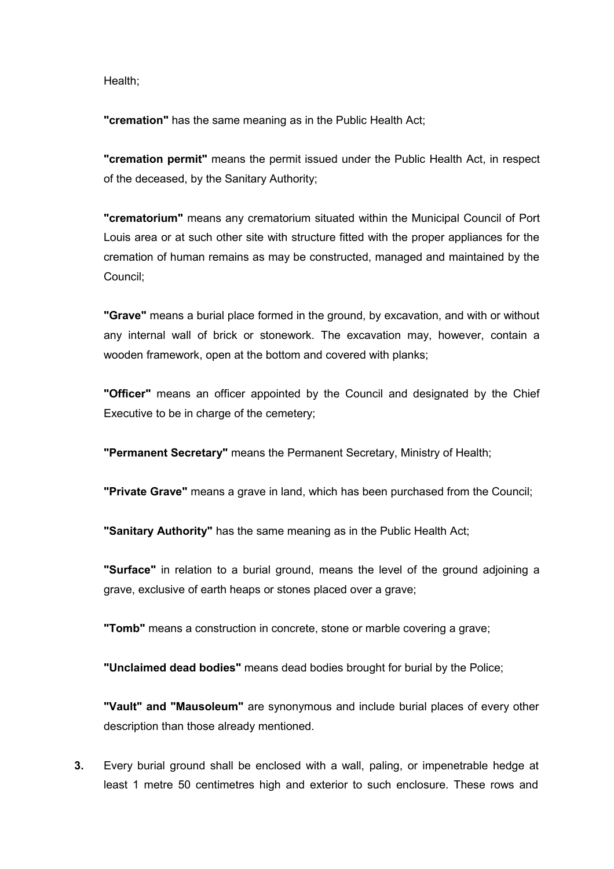Health;

**"cremation"** has the same meaning as in the Public Health Act;

**"cremation permit"** means the permit issued under the Public Health Act, in respect of the deceased, by the Sanitary Authority;

**"crematorium"** means any crematorium situated within the Municipal Council of Port Louis area or at such other site with structure fitted with the proper appliances for the cremation of human remains as may be constructed, managed and maintained by the Council;

**"Grave"** means a burial place formed in the ground, by excavation, and with or without any internal wall of brick or stonework. The excavation may, however, contain a wooden framework, open at the bottom and covered with planks;

**"Officer"** means an officer appointed by the Council and designated by the Chief Executive to be in charge of the cemetery:

**"Permanent Secretary"** means the Permanent Secretary, Ministry of Health;

**"Private Grave"** means a grave in land, which has been purchased from the Council;

**"Sanitary Authority"** has the same meaning as in the Public Health Act;

**"Surface"** in relation to a burial ground, means the level of the ground adjoining a grave, exclusive of earth heaps or stones placed over a grave;

**"Tomb"** means a construction in concrete, stone or marble covering a grave;

**"Unclaimed dead bodies"** means dead bodies brought for burial by the Police;

**"Vault" and "Mausoleum"** are synonymous and include burial places of every other description than those already mentioned.

**3.** Every burial ground shall be enclosed with a wall, paling, or impenetrable hedge at least 1 metre 50 centimetres high and exterior to such enclosure. These rows and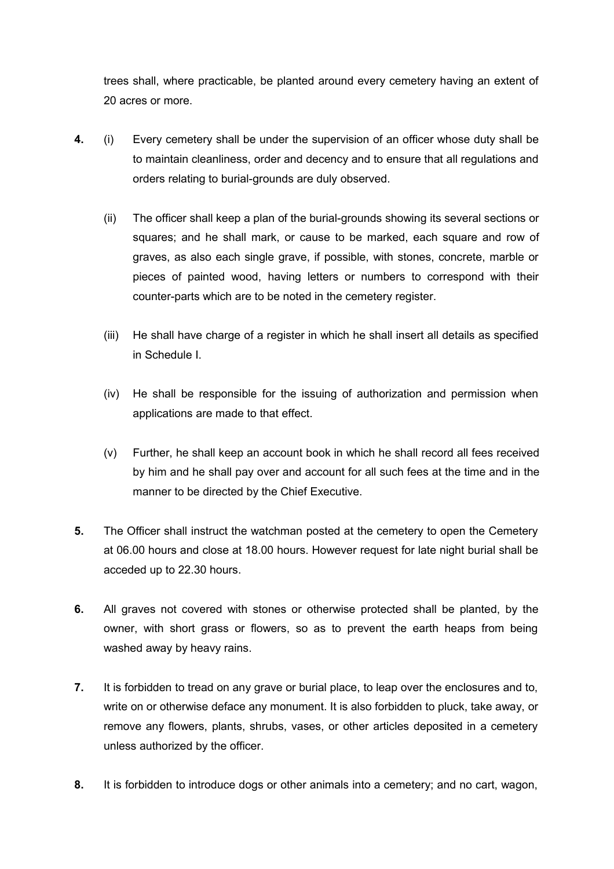trees shall, where practicable, be planted around every cemetery having an extent of 20 acres or more.

- **4.** (i) Every cemetery shall be under the supervision of an officer whose duty shall be to maintain cleanliness, order and decency and to ensure that all regulations and orders relating to burial-grounds are duly observed.
	- (ii) The officer shall keep a plan of the burial-grounds showing its several sections or squares; and he shall mark, or cause to be marked, each square and row of graves, as also each single grave, if possible, with stones, concrete, marble or pieces of painted wood, having letters or numbers to correspond with their counter-parts which are to be noted in the cemetery register.
	- (iii) He shall have charge of a register in which he shall insert all details as specified in Schedule I.
	- (iv) He shall be responsible for the issuing of authorization and permission when applications are made to that effect.
	- (v) Further, he shall keep an account book in which he shall record all fees received by him and he shall pay over and account for all such fees at the time and in the manner to be directed by the Chief Executive.
- **5.** The Officer shall instruct the watchman posted at the cemetery to open the Cemetery at 06.00 hours and close at 18.00 hours. However request for late night burial shall be acceded up to 22.30 hours.
- **6.** All graves not covered with stones or otherwise protected shall be planted, by the owner, with short grass or flowers, so as to prevent the earth heaps from being washed away by heavy rains.
- **7.** It is forbidden to tread on any grave or burial place, to leap over the enclosures and to, write on or otherwise deface any monument. It is also forbidden to pluck, take away, or remove any flowers, plants, shrubs, vases, or other articles deposited in a cemetery unless authorized by the officer.
- **8.** It is forbidden to introduce dogs or other animals into a cemetery; and no cart, wagon,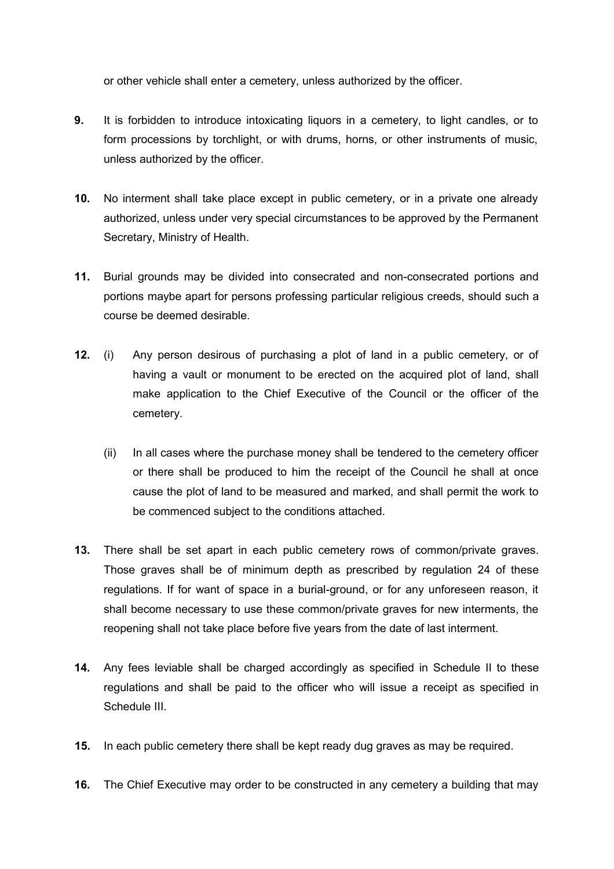or other vehicle shall enter a cemetery, unless authorized by the officer.

- **9.** It is forbidden to introduce intoxicating liquors in a cemetery, to light candles, or to form processions by torchlight, or with drums, horns, or other instruments of music, unless authorized by the officer.
- **10.** No interment shall take place except in public cemetery, or in a private one already authorized, unless under very special circumstances to be approved by the Permanent Secretary, Ministry of Health.
- **11.** Burial grounds may be divided into consecrated and non-consecrated portions and portions maybe apart for persons professing particular religious creeds, should such a course be deemed desirable.
- **12.** (i) Any person desirous of purchasing a plot of land in a public cemetery, or of having a vault or monument to be erected on the acquired plot of land, shall make application to the Chief Executive of the Council or the officer of the cemetery.
	- (ii) In all cases where the purchase money shall be tendered to the cemetery officer or there shall be produced to him the receipt of the Council he shall at once cause the plot of land to be measured and marked, and shall permit the work to be commenced subject to the conditions attached.
- **13.** There shall be set apart in each public cemetery rows of common/private graves. Those graves shall be of minimum depth as prescribed by regulation 24 of these regulations. If for want of space in a burial-ground, or for any unforeseen reason, it shall become necessary to use these common/private graves for new interments, the reopening shall not take place before five years from the date of last interment.
- **14.** Any fees leviable shall be charged accordingly as specified in Schedule II to these regulations and shall be paid to the officer who will issue a receipt as specified in Schedule III.
- **15.** In each public cemetery there shall be kept ready dug graves as may be required.
- **16.** The Chief Executive may order to be constructed in any cemetery a building that may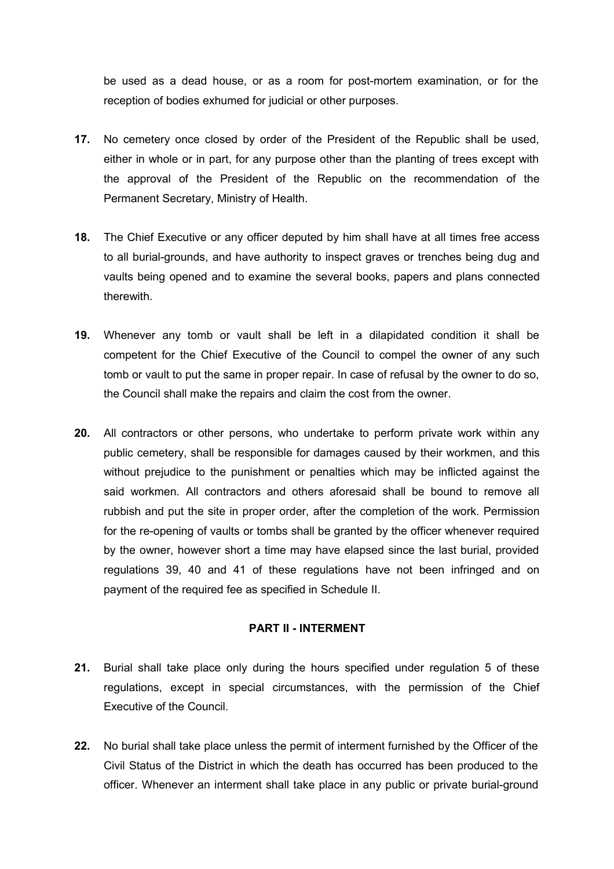be used as a dead house, or as a room for post-mortem examination, or for the reception of bodies exhumed for judicial or other purposes.

- **17.** No cemetery once closed by order of the President of the Republic shall be used, either in whole or in part, for any purpose other than the planting of trees except with the approval of the President of the Republic on the recommendation of the Permanent Secretary, Ministry of Health.
- **18.** The Chief Executive or any officer deputed by him shall have at all times free access to all burial-grounds, and have authority to inspect graves or trenches being dug and vaults being opened and to examine the several books, papers and plans connected therewith.
- **19.** Whenever any tomb or vault shall be left in a dilapidated condition it shall be competent for the Chief Executive of the Council to compel the owner of any such tomb or vault to put the same in proper repair. In case of refusal by the owner to do so, the Council shall make the repairs and claim the cost from the owner.
- **20.** All contractors or other persons, who undertake to perform private work within any public cemetery, shall be responsible for damages caused by their workmen, and this without prejudice to the punishment or penalties which may be inflicted against the said workmen. All contractors and others aforesaid shall be bound to remove all rubbish and put the site in proper order, after the completion of the work. Permission for the re-opening of vaults or tombs shall be granted by the officer whenever required by the owner, however short a time may have elapsed since the last burial, provided regulations 39, 40 and 41 of these regulations have not been infringed and on payment of the required fee as specified in Schedule II.

#### **PART II - INTERMENT**

- **21.** Burial shall take place only during the hours specified under regulation 5 of these regulations, except in special circumstances, with the permission of the Chief Executive of the Council.
- **22.** No burial shall take place unless the permit of interment furnished by the Officer of the Civil Status of the District in which the death has occurred has been produced to the officer. Whenever an interment shall take place in any public or private burial-ground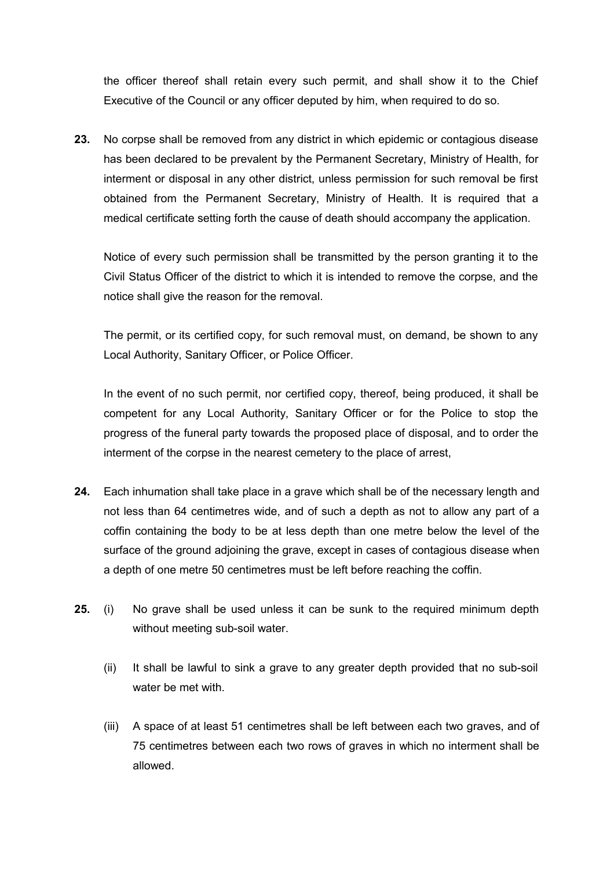the officer thereof shall retain every such permit, and shall show it to the Chief Executive of the Council or any officer deputed by him, when required to do so.

**23.** No corpse shall be removed from any district in which epidemic or contagious disease has been declared to be prevalent by the Permanent Secretary, Ministry of Health, for interment or disposal in any other district, unless permission for such removal be first obtained from the Permanent Secretary, Ministry of Health. It is required that a medical certificate setting forth the cause of death should accompany the application.

Notice of every such permission shall be transmitted by the person granting it to the Civil Status Officer of the district to which it is intended to remove the corpse, and the notice shall give the reason for the removal.

The permit, or its certified copy, for such removal must, on demand, be shown to any Local Authority, Sanitary Officer, or Police Officer.

In the event of no such permit, nor certified copy, thereof, being produced, it shall be competent for any Local Authority, Sanitary Officer or for the Police to stop the progress of the funeral party towards the proposed place of disposal, and to order the interment of the corpse in the nearest cemetery to the place of arrest,

- **24.** Each inhumation shall take place in a grave which shall be of the necessary length and not less than 64 centimetres wide, and of such a depth as not to allow any part of a coffin containing the body to be at less depth than one metre below the level of the surface of the ground adjoining the grave, except in cases of contagious disease when a depth of one metre 50 centimetres must be left before reaching the coffin.
- **25.** (i) No grave shall be used unless it can be sunk to the required minimum depth without meeting sub-soil water.
	- (ii) It shall be lawful to sink a grave to any greater depth provided that no sub-soil water he met with.
	- (iii) A space of at least 51 centimetres shall be left between each two graves, and of 75 centimetres between each two rows of graves in which no interment shall be allowed.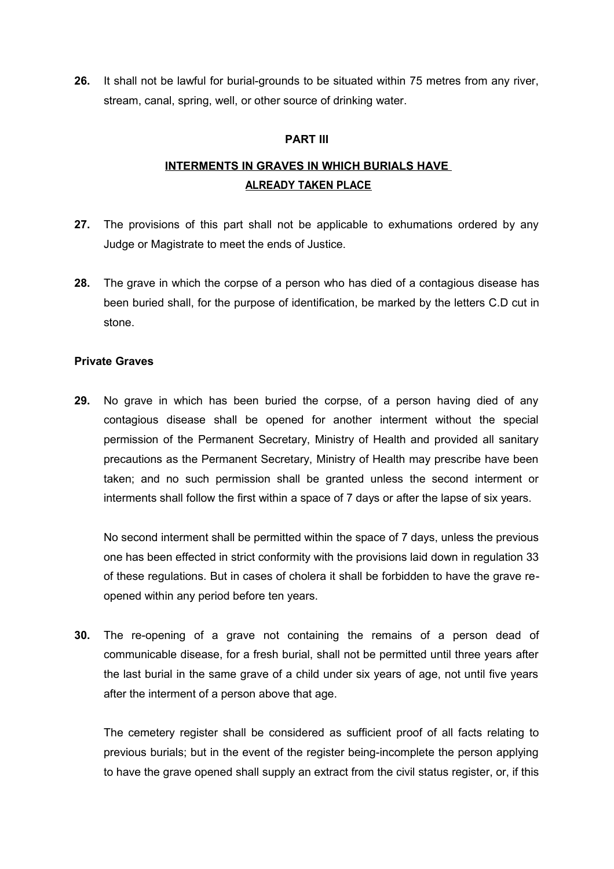**26.** It shall not be lawful for burial-grounds to be situated within 75 metres from any river, stream, canal, spring, well, or other source of drinking water.

#### **PART III**

# **INTERMENTS IN GRAVES IN WHICH BURIALS HAVE ALREADY TAKEN PLACE**

- **27.** The provisions of this part shall not be applicable to exhumations ordered by any Judge or Magistrate to meet the ends of Justice.
- **28.** The grave in which the corpse of a person who has died of a contagious disease has been buried shall, for the purpose of identification, be marked by the letters C.D cut in stone.

#### **Private Graves**

**29.** No grave in which has been buried the corpse, of a person having died of any contagious disease shall be opened for another interment without the special permission of the Permanent Secretary, Ministry of Health and provided all sanitary precautions as the Permanent Secretary, Ministry of Health may prescribe have been taken; and no such permission shall be granted unless the second interment or interments shall follow the first within a space of 7 days or after the lapse of six years.

No second interment shall be permitted within the space of 7 days, unless the previous one has been effected in strict conformity with the provisions laid down in regulation 33 of these regulations. But in cases of cholera it shall be forbidden to have the grave reopened within any period before ten years.

**30.** The re-opening of a grave not containing the remains of a person dead of communicable disease, for a fresh burial, shall not be permitted until three years after the last burial in the same grave of a child under six years of age, not until five years after the interment of a person above that age.

The cemetery register shall be considered as sufficient proof of all facts relating to previous burials; but in the event of the register being-incomplete the person applying to have the grave opened shall supply an extract from the civil status register, or, if this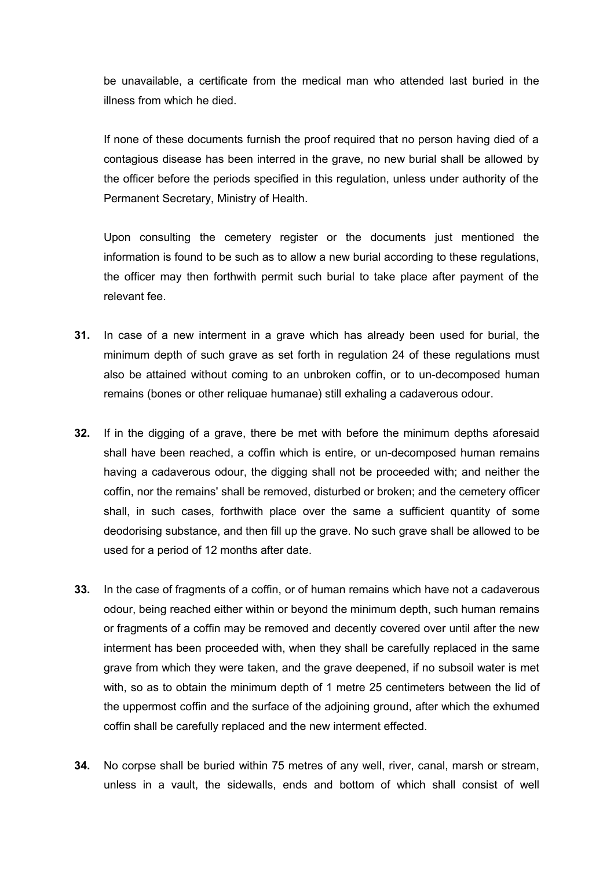be unavailable, a certificate from the medical man who attended last buried in the illness from which he died.

If none of these documents furnish the proof required that no person having died of a contagious disease has been interred in the grave, no new burial shall be allowed by the officer before the periods specified in this regulation, unless under authority of the Permanent Secretary, Ministry of Health.

Upon consulting the cemetery register or the documents just mentioned the information is found to be such as to allow a new burial according to these regulations, the officer may then forthwith permit such burial to take place after payment of the relevant fee.

- **31.** In case of a new interment in a grave which has already been used for burial, the minimum depth of such grave as set forth in regulation 24 of these regulations must also be attained without coming to an unbroken coffin, or to un-decomposed human remains (bones or other reliquae humanae) still exhaling a cadaverous odour.
- **32.** If in the digging of a grave, there be met with before the minimum depths aforesaid shall have been reached, a coffin which is entire, or un-decomposed human remains having a cadaverous odour, the digging shall not be proceeded with; and neither the coffin, nor the remains' shall be removed, disturbed or broken; and the cemetery officer shall, in such cases, forthwith place over the same a sufficient quantity of some deodorising substance, and then fill up the grave. No such grave shall be allowed to be used for a period of 12 months after date.
- **33.** In the case of fragments of a coffin, or of human remains which have not a cadaverous odour, being reached either within or beyond the minimum depth, such human remains or fragments of a coffin may be removed and decently covered over until after the new interment has been proceeded with, when they shall be carefully replaced in the same grave from which they were taken, and the grave deepened, if no subsoil water is met with, so as to obtain the minimum depth of 1 metre 25 centimeters between the lid of the uppermost coffin and the surface of the adjoining ground, after which the exhumed coffin shall be carefully replaced and the new interment effected.
- **34.** No corpse shall be buried within 75 metres of any well, river, canal, marsh or stream, unless in a vault, the sidewalls, ends and bottom of which shall consist of well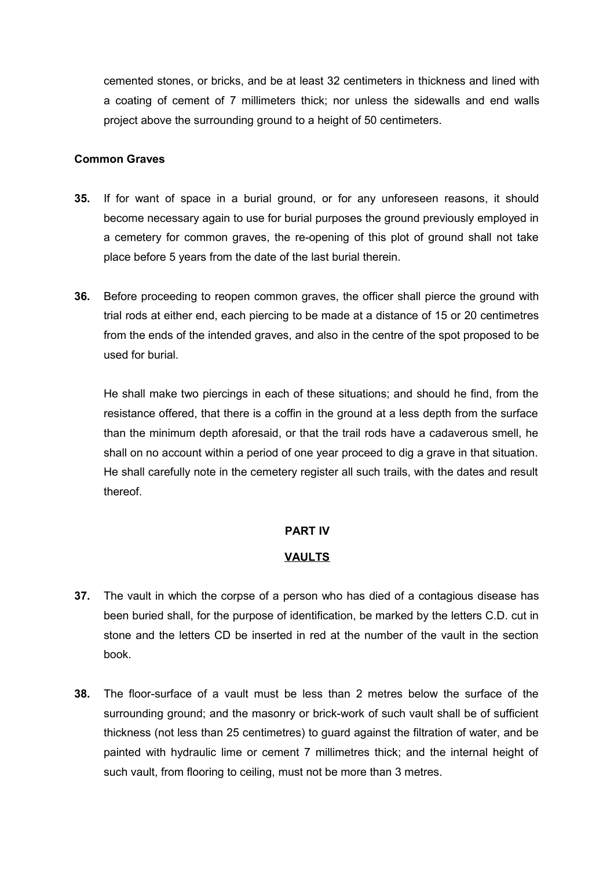cemented stones, or bricks, and be at least 32 centimeters in thickness and lined with a coating of cement of 7 millimeters thick; nor unless the sidewalls and end walls project above the surrounding ground to a height of 50 centimeters.

#### **Common Graves**

- **35.** If for want of space in a burial ground, or for any unforeseen reasons, it should become necessary again to use for burial purposes the ground previously employed in a cemetery for common graves, the re-opening of this plot of ground shall not take place before 5 years from the date of the last burial therein.
- **36.** Before proceeding to reopen common graves, the officer shall pierce the ground with trial rods at either end, each piercing to be made at a distance of 15 or 20 centimetres from the ends of the intended graves, and also in the centre of the spot proposed to be used for burial.

He shall make two piercings in each of these situations; and should he find, from the resistance offered, that there is a coffin in the ground at a less depth from the surface than the minimum depth aforesaid, or that the trail rods have a cadaverous smell, he shall on no account within a period of one year proceed to dig a grave in that situation. He shall carefully note in the cemetery register all such trails, with the dates and result thereof.

#### **PART IV**

#### **VAULTS**

- **37.** The vault in which the corpse of a person who has died of a contagious disease has been buried shall, for the purpose of identification, be marked by the letters C.D. cut in stone and the letters CD be inserted in red at the number of the vault in the section book.
- **38.** The floor-surface of a vault must be less than 2 metres below the surface of the surrounding ground; and the masonry or brick-work of such vault shall be of sufficient thickness (not less than 25 centimetres) to guard against the filtration of water, and be painted with hydraulic lime or cement 7 millimetres thick; and the internal height of such vault, from flooring to ceiling, must not be more than 3 metres.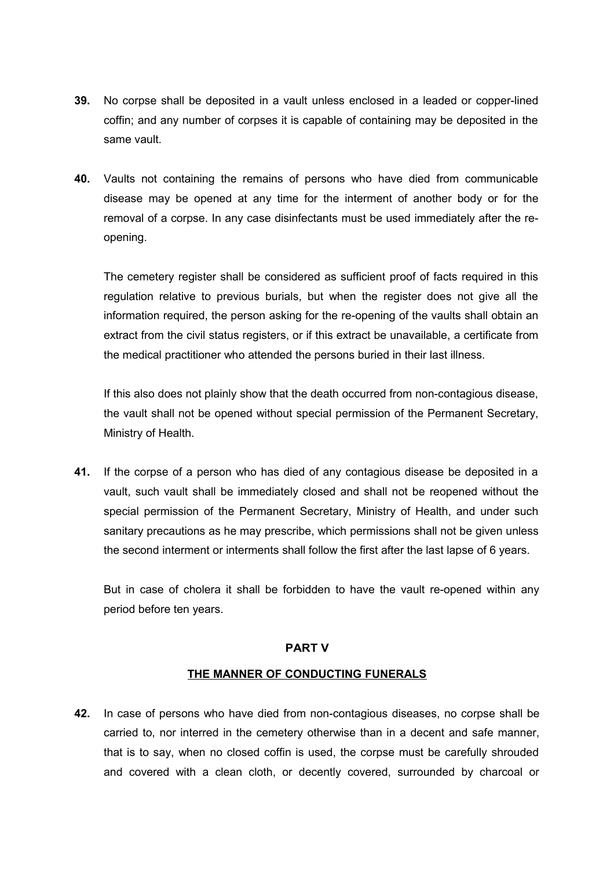- **39.** No corpse shall be deposited in a vault unless enclosed in a leaded or copper-lined coffin; and any number of corpses it is capable of containing may be deposited in the same vault.
- **40.** Vaults not containing the remains of persons who have died from communicable disease may be opened at any time for the interment of another body or for the removal of a corpse. In any case disinfectants must be used immediately after the reopening.

The cemetery register shall be considered as sufficient proof of facts required in this regulation relative to previous burials, but when the register does not give all the information required, the person asking for the re-opening of the vaults shall obtain an extract from the civil status registers, or if this extract be unavailable, a certificate from the medical practitioner who attended the persons buried in their last illness.

If this also does not plainly show that the death occurred from non-contagious disease, the vault shall not be opened without special permission of the Permanent Secretary, Ministry of Health.

**41.** If the corpse of a person who has died of any contagious disease be deposited in a vault, such vault shall be immediately closed and shall not be reopened without the special permission of the Permanent Secretary, Ministry of Health, and under such sanitary precautions as he may prescribe, which permissions shall not be given unless the second interment or interments shall follow the first after the last lapse of 6 years.

But in case of cholera it shall be forbidden to have the vault re-opened within any period before ten years.

#### **PART V**

### **THE MANNER OF CONDUCTING FUNERALS**

**42.** In case of persons who have died from non-contagious diseases, no corpse shall be carried to, nor interred in the cemetery otherwise than in a decent and safe manner, that is to say, when no closed coffin is used, the corpse must be carefully shrouded and covered with a clean cloth, or decently covered, surrounded by charcoal or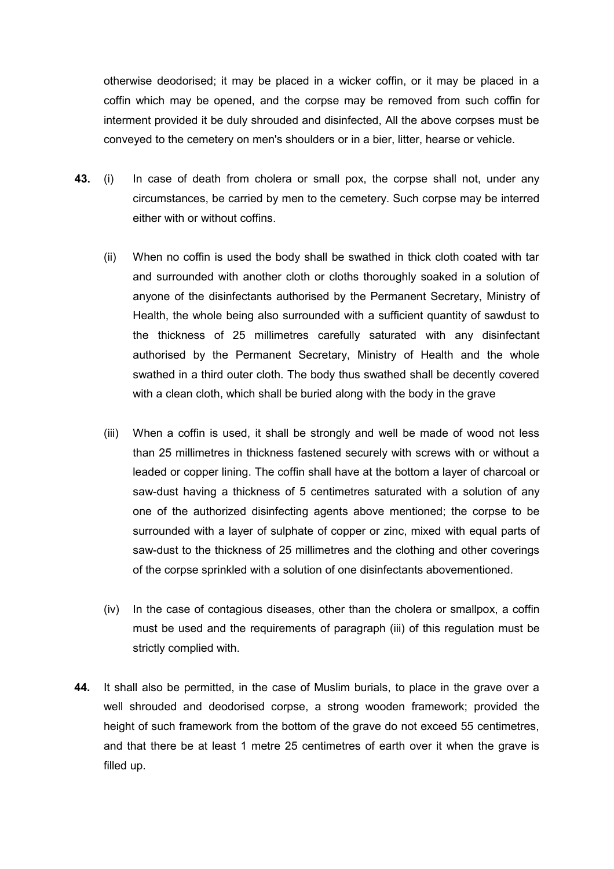otherwise deodorised; it may be placed in a wicker coffin, or it may be placed in a coffin which may be opened, and the corpse may be removed from such coffin for interment provided it be duly shrouded and disinfected, All the above corpses must be conveyed to the cemetery on men's shoulders or in a bier, litter, hearse or vehicle.

- **43.** (i) In case of death from cholera or small pox, the corpse shall not, under any circumstances, be carried by men to the cemetery. Such corpse may be interred either with or without coffins.
	- (ii) When no coffin is used the body shall be swathed in thick cloth coated with tar and surrounded with another cloth or cloths thoroughly soaked in a solution of anyone of the disinfectants authorised by the Permanent Secretary, Ministry of Health, the whole being also surrounded with a sufficient quantity of sawdust to the thickness of 25 millimetres carefully saturated with any disinfectant authorised by the Permanent Secretary, Ministry of Health and the whole swathed in a third outer cloth. The body thus swathed shall be decently covered with a clean cloth, which shall be buried along with the body in the grave
	- (iii) When a coffin is used, it shall be strongly and well be made of wood not less than 25 millimetres in thickness fastened securely with screws with or without a leaded or copper lining. The coffin shall have at the bottom a layer of charcoal or saw-dust having a thickness of 5 centimetres saturated with a solution of any one of the authorized disinfecting agents above mentioned; the corpse to be surrounded with a layer of sulphate of copper or zinc, mixed with equal parts of saw-dust to the thickness of 25 millimetres and the clothing and other coverings of the corpse sprinkled with a solution of one disinfectants abovementioned.
	- (iv) In the case of contagious diseases, other than the cholera or smallpox, a coffin must be used and the requirements of paragraph (iii) of this regulation must be strictly complied with.
- **44.** It shall also be permitted, in the case of Muslim burials, to place in the grave over a well shrouded and deodorised corpse, a strong wooden framework; provided the height of such framework from the bottom of the grave do not exceed 55 centimetres, and that there be at least 1 metre 25 centimetres of earth over it when the grave is filled up.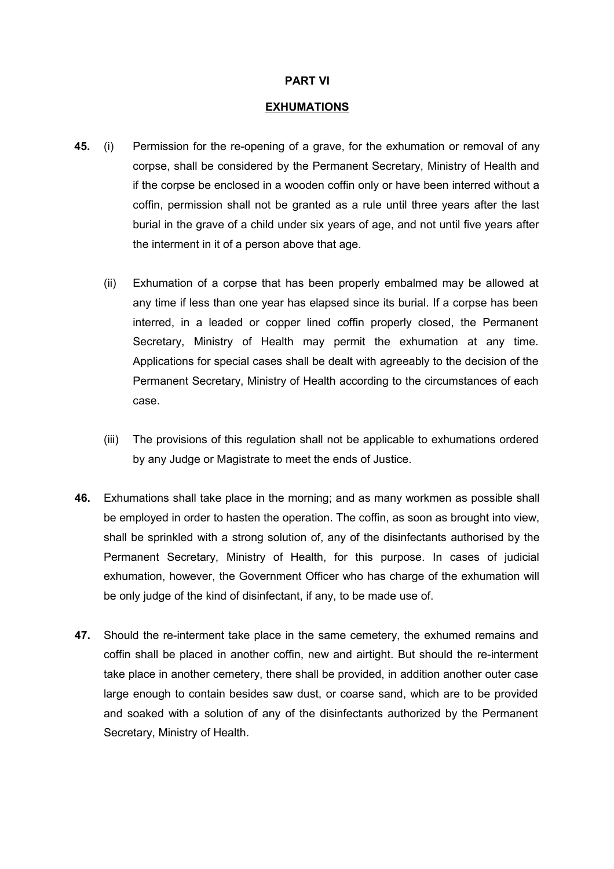#### **PART VI**

#### **EXHUMATIONS**

- **45.** (i) Permission for the re-opening of a grave, for the exhumation or removal of any corpse, shall be considered by the Permanent Secretary, Ministry of Health and if the corpse be enclosed in a wooden coffin only or have been interred without a coffin, permission shall not be granted as a rule until three years after the last burial in the grave of a child under six years of age, and not until five years after the interment in it of a person above that age.
	- (ii) Exhumation of a corpse that has been properly embalmed may be allowed at any time if less than one year has elapsed since its burial. If a corpse has been interred, in a leaded or copper lined coffin properly closed, the Permanent Secretary, Ministry of Health may permit the exhumation at any time. Applications for special cases shall be dealt with agreeably to the decision of the Permanent Secretary, Ministry of Health according to the circumstances of each case.
	- (iii) The provisions of this regulation shall not be applicable to exhumations ordered by any Judge or Magistrate to meet the ends of Justice.
- **46.** Exhumations shall take place in the morning; and as many workmen as possible shall be employed in order to hasten the operation. The coffin, as soon as brought into view, shall be sprinkled with a strong solution of, any of the disinfectants authorised by the Permanent Secretary, Ministry of Health, for this purpose. In cases of judicial exhumation, however, the Government Officer who has charge of the exhumation will be only judge of the kind of disinfectant, if any, to be made use of.
- **47.** Should the re-interment take place in the same cemetery, the exhumed remains and coffin shall be placed in another coffin, new and airtight. But should the re-interment take place in another cemetery, there shall be provided, in addition another outer case large enough to contain besides saw dust, or coarse sand, which are to be provided and soaked with a solution of any of the disinfectants authorized by the Permanent Secretary, Ministry of Health.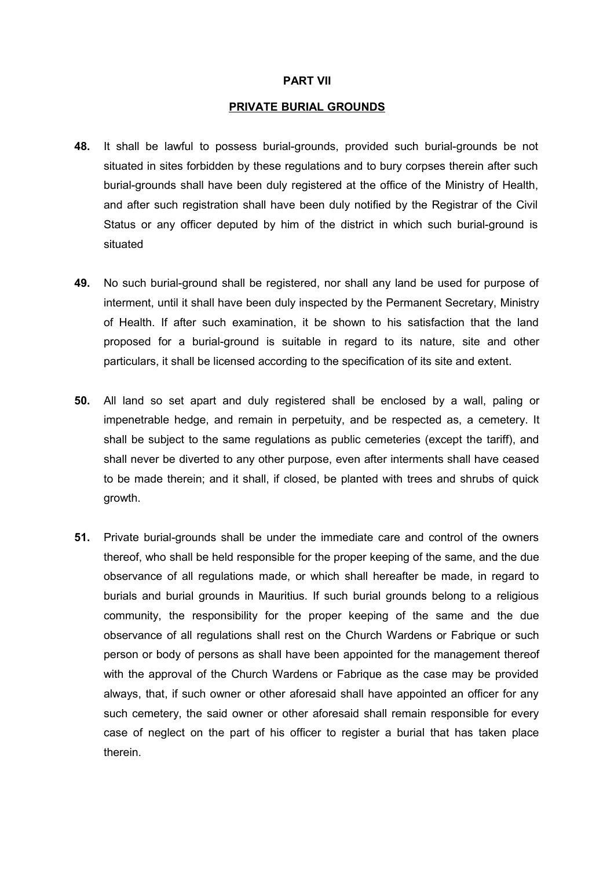#### **PART VII**

#### **PRIVATE BURIAL GROUNDS**

- **48.** It shall be lawful to possess burial-grounds, provided such burial-grounds be not situated in sites forbidden by these regulations and to bury corpses therein after such burial-grounds shall have been duly registered at the office of the Ministry of Health, and after such registration shall have been duly notified by the Registrar of the Civil Status or any officer deputed by him of the district in which such burial-ground is situated
- **49.** No such burial-ground shall be registered, nor shall any land be used for purpose of interment, until it shall have been duly inspected by the Permanent Secretary, Ministry of Health. If after such examination, it be shown to his satisfaction that the land proposed for a burial-ground is suitable in regard to its nature, site and other particulars, it shall be licensed according to the specification of its site and extent.
- **50.** All land so set apart and duly registered shall be enclosed by a wall, paling or impenetrable hedge, and remain in perpetuity, and be respected as, a cemetery. It shall be subject to the same regulations as public cemeteries (except the tariff), and shall never be diverted to any other purpose, even after interments shall have ceased to be made therein; and it shall, if closed, be planted with trees and shrubs of quick growth.
- **51.** Private burial-grounds shall be under the immediate care and control of the owners thereof, who shall be held responsible for the proper keeping of the same, and the due observance of all regulations made, or which shall hereafter be made, in regard to burials and burial grounds in Mauritius. If such burial grounds belong to a religious community, the responsibility for the proper keeping of the same and the due observance of all regulations shall rest on the Church Wardens or Fabrique or such person or body of persons as shall have been appointed for the management thereof with the approval of the Church Wardens or Fabrique as the case may be provided always, that, if such owner or other aforesaid shall have appointed an officer for any such cemetery, the said owner or other aforesaid shall remain responsible for every case of neglect on the part of his officer to register a burial that has taken place therein.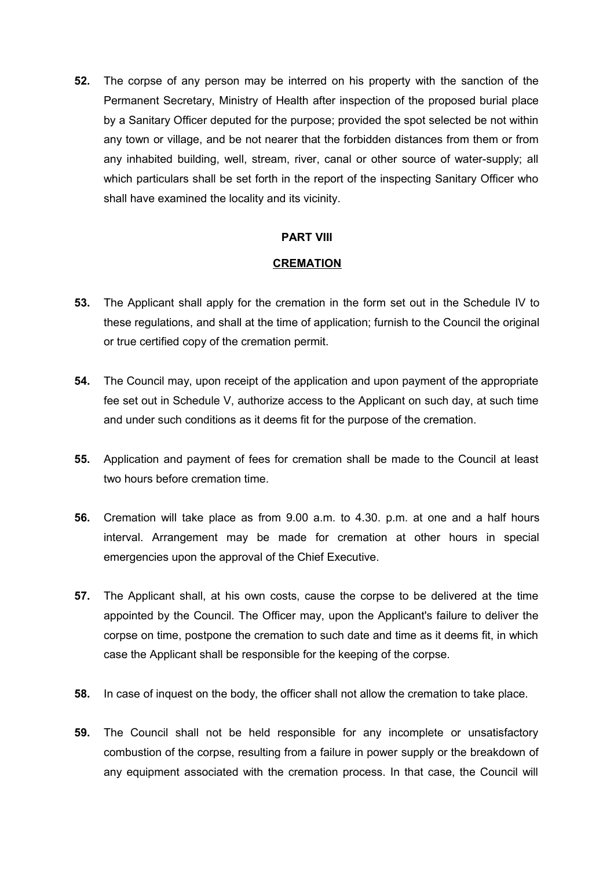**52.** The corpse of any person may be interred on his property with the sanction of the Permanent Secretary, Ministry of Health after inspection of the proposed burial place by a Sanitary Officer deputed for the purpose; provided the spot selected be not within any town or village, and be not nearer that the forbidden distances from them or from any inhabited building, well, stream, river, canal or other source of water-supply; all which particulars shall be set forth in the report of the inspecting Sanitary Officer who shall have examined the locality and its vicinity.

#### **PART VIII**

### **CREMATION**

- **53.** The Applicant shall apply for the cremation in the form set out in the Schedule IV to these regulations, and shall at the time of application; furnish to the Council the original or true certified copy of the cremation permit.
- **54.** The Council may, upon receipt of the application and upon payment of the appropriate fee set out in Schedule V, authorize access to the Applicant on such day, at such time and under such conditions as it deems fit for the purpose of the cremation.
- **55.** Application and payment of fees for cremation shall be made to the Council at least two hours before cremation time.
- **56.** Cremation will take place as from 9.00 a.m. to 4.30. p.m. at one and a half hours interval. Arrangement may be made for cremation at other hours in special emergencies upon the approval of the Chief Executive.
- **57.** The Applicant shall, at his own costs, cause the corpse to be delivered at the time appointed by the Council. The Officer may, upon the Applicant's failure to deliver the corpse on time, postpone the cremation to such date and time as it deems fit, in which case the Applicant shall be responsible for the keeping of the corpse.
- **58.** In case of inquest on the body, the officer shall not allow the cremation to take place.
- **59.** The Council shall not be held responsible for any incomplete or unsatisfactory combustion of the corpse, resulting from a failure in power supply or the breakdown of any equipment associated with the cremation process. In that case, the Council will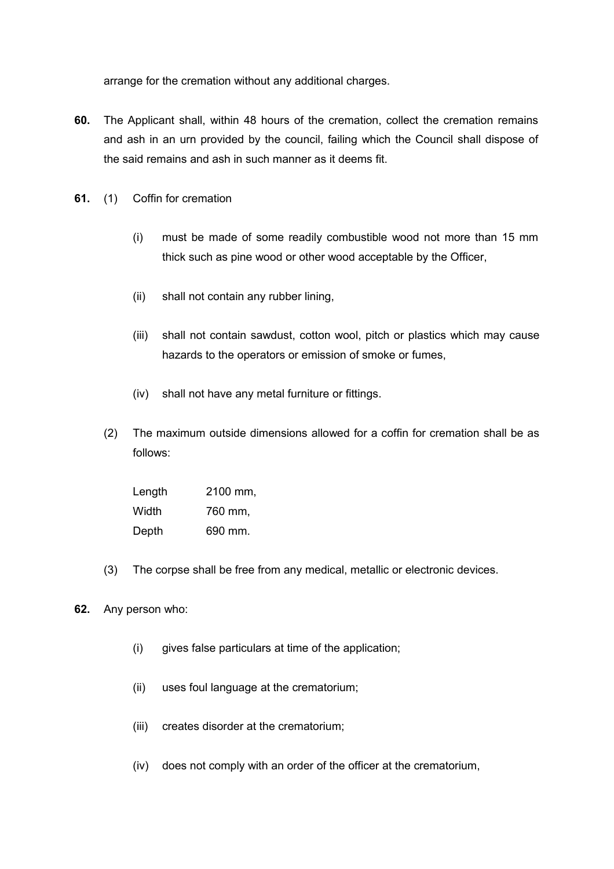arrange for the cremation without any additional charges.

- **60.** The Applicant shall, within 48 hours of the cremation, collect the cremation remains and ash in an urn provided by the council, failing which the Council shall dispose of the said remains and ash in such manner as it deems fit.
- **61.** (1) Coffin for cremation
	- (i) must be made of some readily combustible wood not more than 15 mm thick such as pine wood or other wood acceptable by the Officer,
	- (ii) shall not contain any rubber lining,
	- (iii) shall not contain sawdust, cotton wool, pitch or plastics which may cause hazards to the operators or emission of smoke or fumes,
	- (iv) shall not have any metal furniture or fittings.
	- (2) The maximum outside dimensions allowed for a coffin for cremation shall be as follows:

| Length | 2100 mm, |
|--------|----------|
| Width  | 760 mm,  |
| Depth  | 690 mm.  |

- (3) The corpse shall be free from any medical, metallic or electronic devices.
- **62.** Any person who:
	- (i) gives false particulars at time of the application;
	- (ii) uses foul language at the crematorium;
	- (iii) creates disorder at the crematorium;
	- (iv) does not comply with an order of the officer at the crematorium,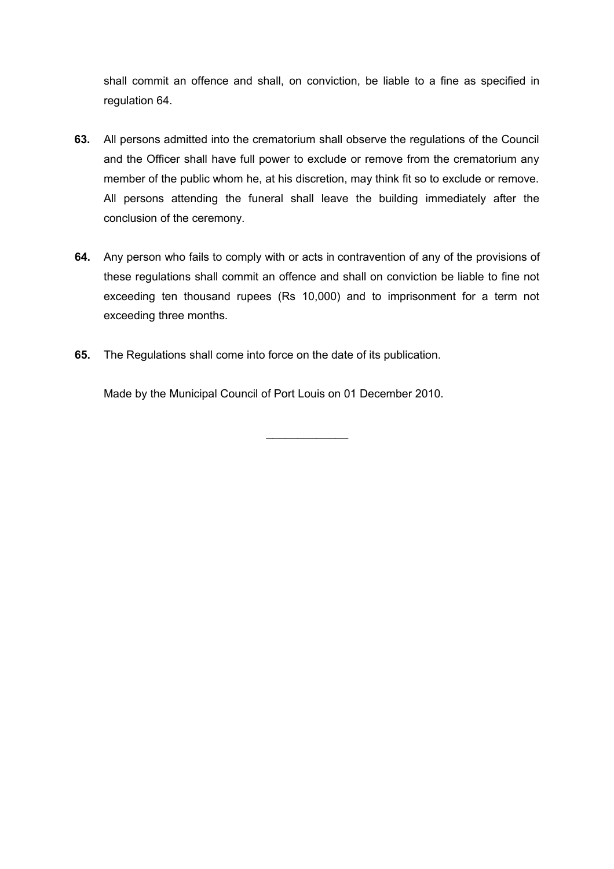shall commit an offence and shall, on conviction, be liable to a fine as specified in regulation 64.

- **63.** All persons admitted into the crematorium shall observe the regulations of the Council and the Officer shall have full power to exclude or remove from the crematorium any member of the public whom he, at his discretion, may think fit so to exclude or remove. All persons attending the funeral shall leave the building immediately after the conclusion of the ceremony.
- **64.** Any person who fails to comply with or acts in contravention of any of the provisions of these regulations shall commit an offence and shall on conviction be liable to fine not exceeding ten thousand rupees (Rs 10,000) and to imprisonment for a term not exceeding three months.

 $\mathcal{L}_\text{max}$  . The set of the set of the set of the set of the set of the set of the set of the set of the set of the set of the set of the set of the set of the set of the set of the set of the set of the set of the set

**65.** The Regulations shall come into force on the date of its publication.

Made by the Municipal Council of Port Louis on 01 December 2010.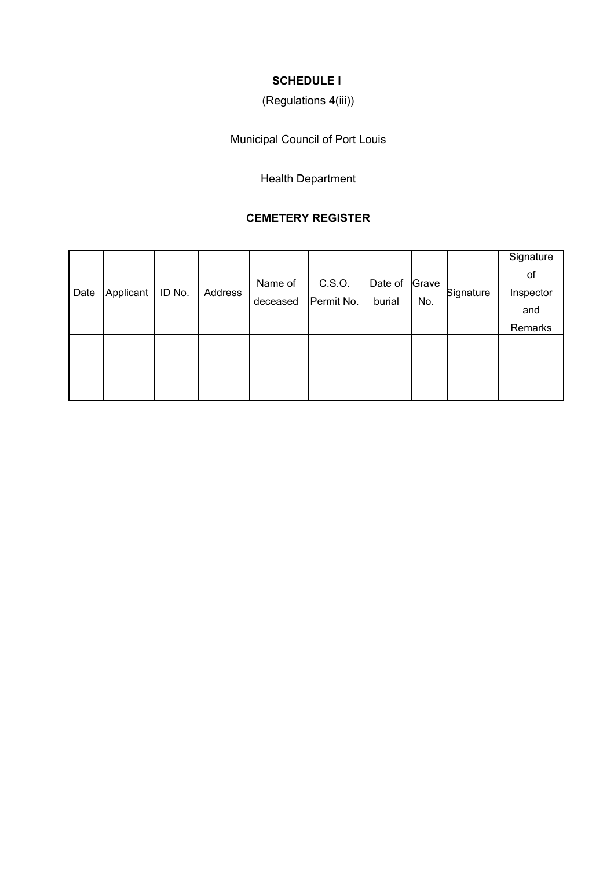# **SCHEDULE I**

# (Regulations 4(iii))

Municipal Council of Port Louis

Health Department

### **CEMETERY REGISTER**

| Date | Applicant | ID No. | Address | Name of<br>deceased | C.S.O.<br>Permit No. | Date of<br>burial | Grave<br>No. | Signature | Signature<br>of<br>Inspector<br>and<br>Remarks |
|------|-----------|--------|---------|---------------------|----------------------|-------------------|--------------|-----------|------------------------------------------------|
|      |           |        |         |                     |                      |                   |              |           |                                                |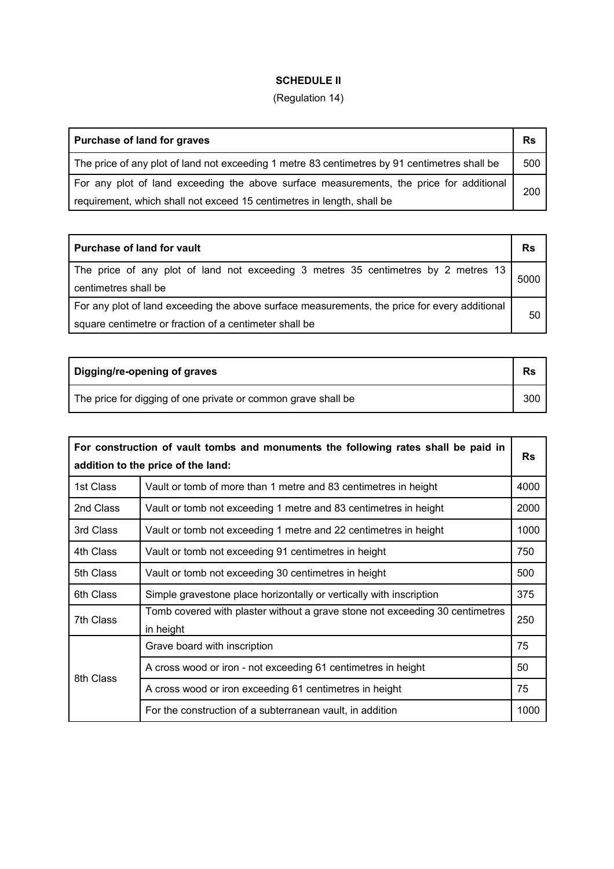## **SCHEDULE II**

## (Regulation 14)

| Purchase of land for graves                                                                   | <b>Rs</b> |
|-----------------------------------------------------------------------------------------------|-----------|
| The price of any plot of land not exceeding 1 metre 83 centimetres by 91 centimetres shall be | 500       |
| For any plot of land exceeding the above surface measurements, the price for additional       | 200       |
| requirement, which shall not exceed 15 centimetres in length, shall be                        |           |

| <b>Purchase of land for vault</b>                                                                          | Rs   |
|------------------------------------------------------------------------------------------------------------|------|
| The price of any plot of land not exceeding 3 metres 35 centimetres by 2 metres 13<br>centimetres shall be | 5000 |
| For any plot of land exceeding the above surface measurements, the price for every additional              | 50   |
| square centimetre or fraction of a centimeter shall be                                                     |      |

| Digging/re-opening of graves                                  | <b>Rs</b> |
|---------------------------------------------------------------|-----------|
| The price for digging of one private or common grave shall be | 300       |

|           | For construction of vault tombs and monuments the following rates shall be paid in        | <b>Rs</b> |
|-----------|-------------------------------------------------------------------------------------------|-----------|
|           | addition to the price of the land:                                                        |           |
| 1st Class | Vault or tomb of more than 1 metre and 83 centimetres in height                           | 4000      |
| 2nd Class | Vault or tomb not exceeding 1 metre and 83 centimetres in height                          | 2000      |
| 3rd Class | Vault or tomb not exceeding 1 metre and 22 centimetres in height                          | 1000      |
| 4th Class | Vault or tomb not exceeding 91 centimetres in height                                      | 750       |
| 5th Class | Vault or tomb not exceeding 30 centimetres in height                                      | 500       |
| 6th Class | Simple gravestone place horizontally or vertically with inscription                       | 375       |
| 7th Class | Tomb covered with plaster without a grave stone not exceeding 30 centimetres<br>in height | 250       |
|           | Grave board with inscription                                                              | 75        |
|           | A cross wood or iron - not exceeding 61 centimetres in height                             | 50        |
| 8th Class | A cross wood or iron exceeding 61 centimetres in height                                   | 75        |
|           | For the construction of a subterranean vault, in addition                                 | 1000      |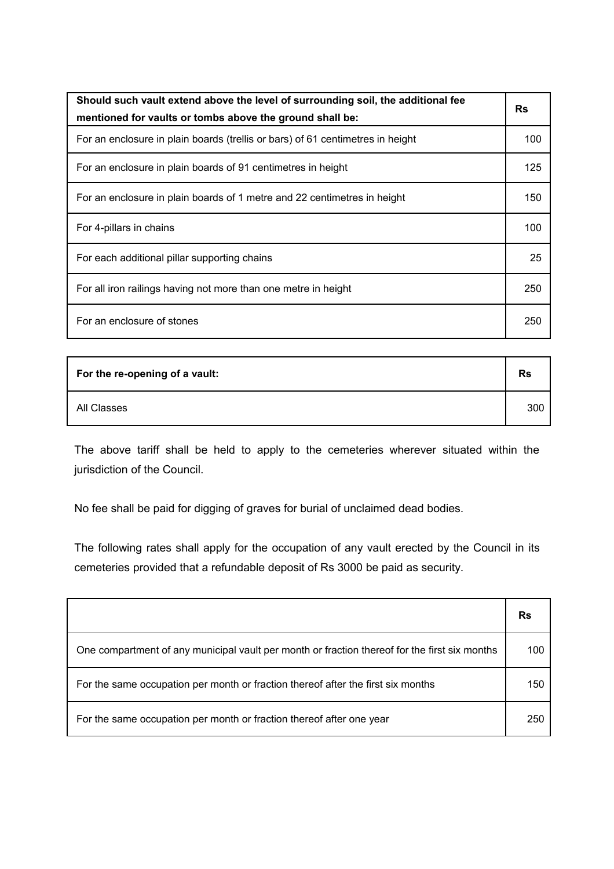| Should such vault extend above the level of surrounding soil, the additional fee<br>mentioned for vaults or tombs above the ground shall be: | <b>Rs</b> |
|----------------------------------------------------------------------------------------------------------------------------------------------|-----------|
| For an enclosure in plain boards (trellis or bars) of 61 centimetres in height                                                               | 100       |
| For an enclosure in plain boards of 91 centimetres in height                                                                                 | 125       |
| For an enclosure in plain boards of 1 metre and 22 centimetres in height                                                                     | 150       |
| For 4-pillars in chains                                                                                                                      | 100       |
| For each additional pillar supporting chains                                                                                                 | 25        |
| For all iron railings having not more than one metre in height                                                                               | 250       |
| For an enclosure of stones                                                                                                                   | 250       |

| For the re-opening of a vault: | <b>Rs</b> |
|--------------------------------|-----------|
| All Classes                    | 300       |

The above tariff shall be held to apply to the cemeteries wherever situated within the jurisdiction of the Council.

No fee shall be paid for digging of graves for burial of unclaimed dead bodies.

The following rates shall apply for the occupation of any vault erected by the Council in its cemeteries provided that a refundable deposit of Rs 3000 be paid as security.

|                                                                                               | Rs  |
|-----------------------------------------------------------------------------------------------|-----|
| One compartment of any municipal vault per month or fraction thereof for the first six months | 100 |
| For the same occupation per month or fraction thereof after the first six months              | 150 |
| For the same occupation per month or fraction thereof after one year                          | 250 |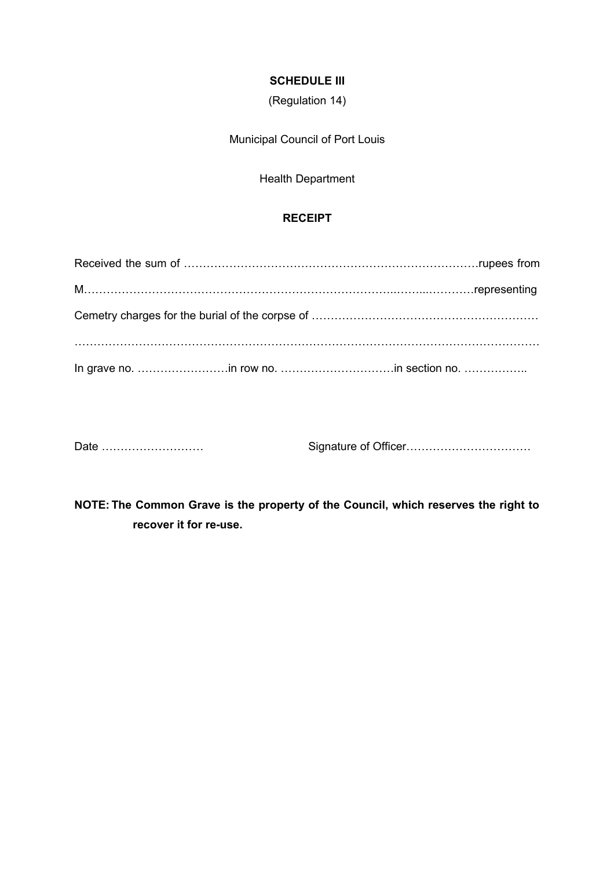### **SCHEDULE III**

(Regulation 14)

Municipal Council of Port Louis

Health Department

### **RECEIPT**

Date ……………………… Signature of Officer……………………………

**NOTE: The Common Grave is the property of the Council, which reserves the right to recover it for re-use.**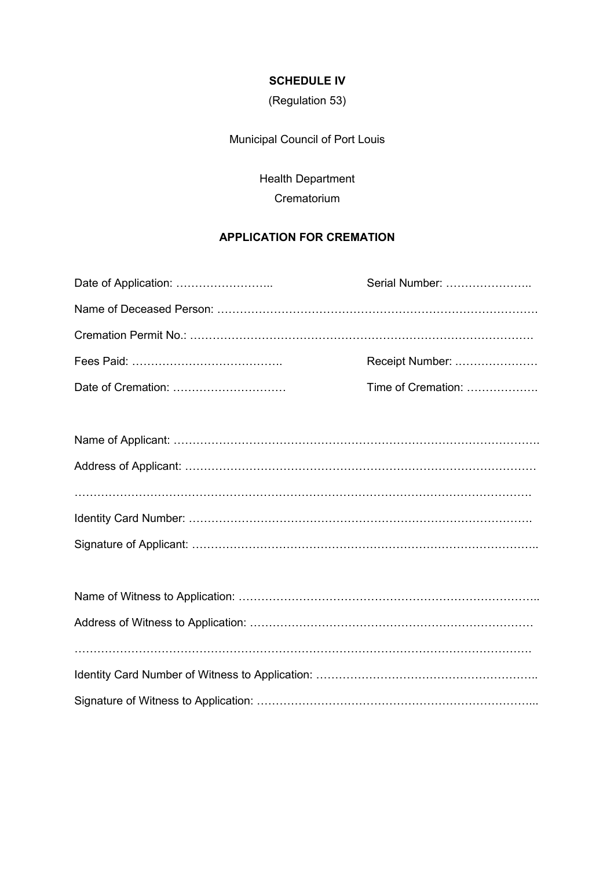### **SCHEDULE IV**

(Regulation 53)

Municipal Council of Port Louis

Health Department **Crematorium** 

# **APPLICATION FOR CREMATION**

| Serial Number:     |
|--------------------|
|                    |
|                    |
| Receipt Number:    |
| Time of Cremation: |
|                    |